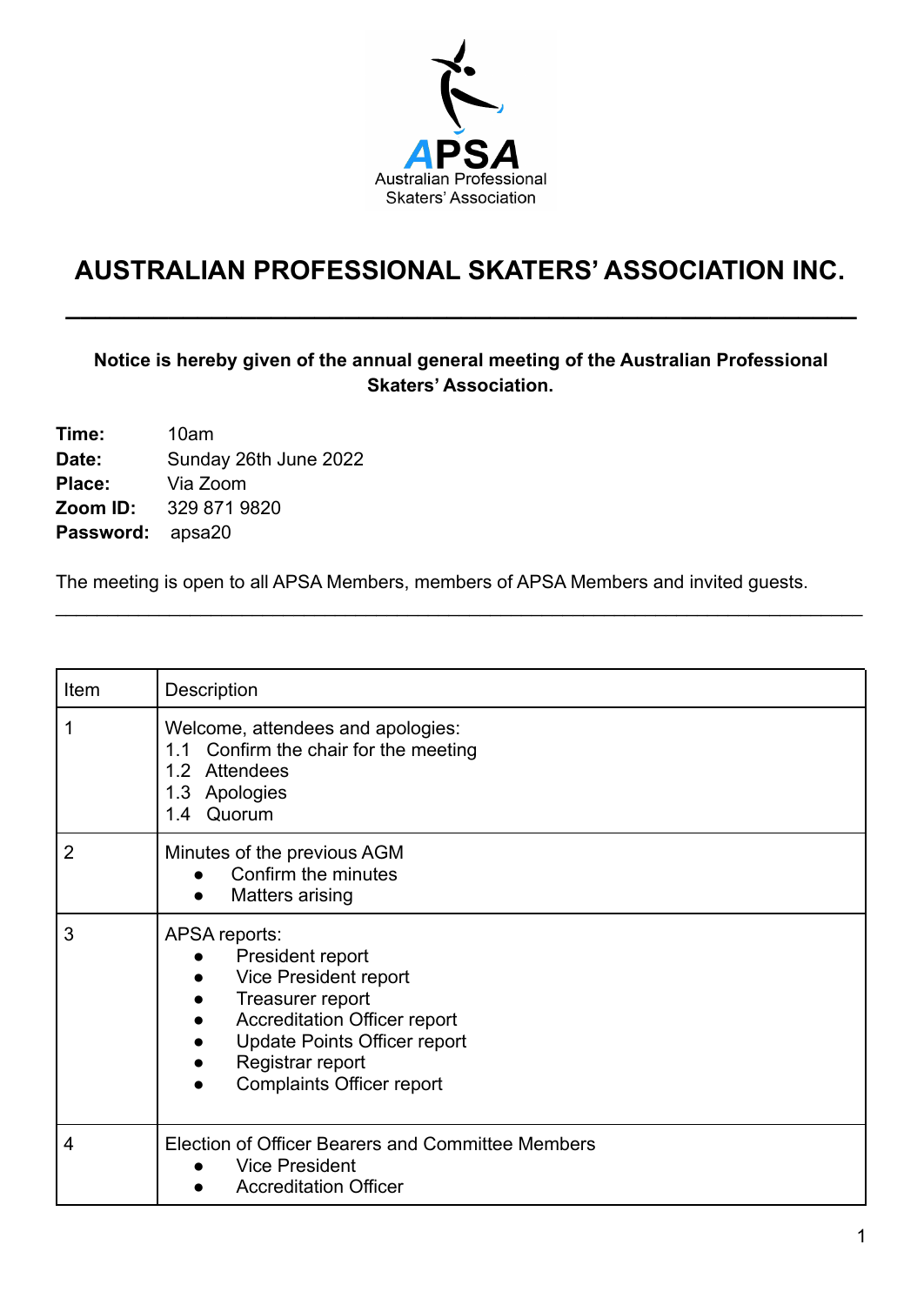

# **AUSTRALIAN PROFESSIONAL SKATERS' ASSOCIATION INC.**

**\_\_\_\_\_\_\_\_\_\_\_\_\_\_\_\_\_\_\_\_\_\_\_\_\_\_\_\_\_\_\_\_\_\_\_\_\_\_\_\_\_\_\_\_\_\_\_\_\_\_\_\_\_\_**

### **Notice is hereby given of the annual general meeting of the Australian Professional Skaters' Association.**

| Time:            | 10am                  |
|------------------|-----------------------|
| Date:            | Sunday 26th June 2022 |
| Place:           | Via Zoom              |
| Zoom ID:         | 329 871 9820          |
| Password: apsa20 |                       |

The meeting is open to all APSA Members, members of APSA Members and invited guests.

\_\_\_\_\_\_\_\_\_\_\_\_\_\_\_\_\_\_\_\_\_\_\_\_\_\_\_\_\_\_\_\_\_\_\_\_\_\_\_\_\_\_\_\_\_\_\_\_\_\_\_\_\_\_\_\_\_\_\_\_\_\_\_\_\_\_\_\_\_\_\_\_\_\_\_\_\_\_

| Item           | Description                                                                                                                                                                                                                       |
|----------------|-----------------------------------------------------------------------------------------------------------------------------------------------------------------------------------------------------------------------------------|
| 1              | Welcome, attendees and apologies:<br>1.1 Confirm the chair for the meeting<br>Attendees<br>1.2 <sub>1</sub><br>1.3 Apologies<br>1.4 Quorum                                                                                        |
| $\overline{2}$ | Minutes of the previous AGM<br>Confirm the minutes<br>Matters arising                                                                                                                                                             |
| 3              | APSA reports:<br>President report<br>Vice President report<br>Treasurer report<br><b>Accreditation Officer report</b><br>$\bullet$<br><b>Update Points Officer report</b><br>Registrar report<br><b>Complaints Officer report</b> |
| $\overline{4}$ | Election of Officer Bearers and Committee Members<br><b>Vice President</b><br><b>Accreditation Officer</b>                                                                                                                        |